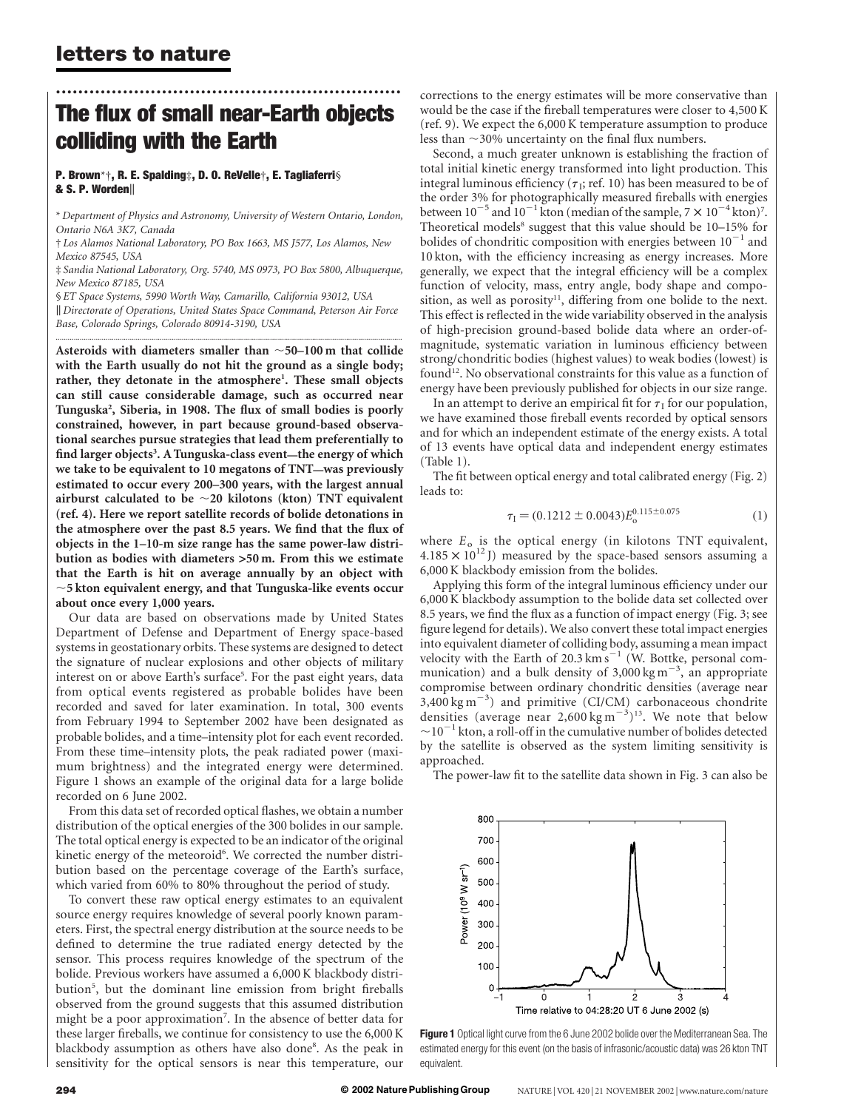# The flux of small near-Earth objects colliding with the Earth

..............................................................

#### P. Brown\*†, R. E. Spalding‡, D. O. ReVelle†, E. Tagliaferri§ & S. P. Worden

\* Department of Physics and Astronomy, University of Western Ontario, London, Ontario N6A 3K7, Canada

† Los Alamos National Laboratory, PO Box 1663, MS J577, Los Alamos, New Mexico 87545, USA

‡ Sandia National Laboratory, Org. 5740, MS 0973, PO Box 5800, Albuquerque, New Mexico 87185, USA

§ ET Space Systems, 5990 Worth Way, Camarillo, California 93012, USA || Directorate of Operations, United States Space Command, Peterson Air Force

.............................................................................................................................................................................

Base, Colorado Springs, Colorado 80914-3190, USA

Asteroids with diameters smaller than  $\sim$  50–100 m that collide with the Earth usually do not hit the ground as a single body; rather, they detonate in the atmosphere<sup>1</sup>. These small objects can still cause considerable damage, such as occurred near Tunguska<sup>2</sup> , Siberia, in 1908. The flux of small bodies is poorly constrained, however, in part because ground-based observational searches pursue strategies that lead them preferentially to find larger objects<sup>3</sup>. A Tunguska-class event—the energy of which we take to be equivalent to 10 megatons of TNT—was previously estimated to occur every 200–300 years, with the largest annual airburst calculated to be  $\sim$  20 kilotons (kton) TNT equivalent (ref. 4). Here we report satellite records of bolide detonations in the atmosphere over the past 8.5 years. We find that the flux of objects in the 1–10-m size range has the same power-law distribution as bodies with diameters >50 m. From this we estimate that the Earth is hit on average annually by an object with  $\sim$ 5 kton equivalent energy, and that Tunguska-like events occur about once every 1,000 years.

Our data are based on observations made by United States Department of Defense and Department of Energy space-based systems in geostationary orbits. These systems are designed to detect the signature of nuclear explosions and other objects of military interest on or above Earth's surface<sup>5</sup>. For the past eight years, data from optical events registered as probable bolides have been recorded and saved for later examination. In total, 300 events from February 1994 to September 2002 have been designated as probable bolides, and a time–intensity plot for each event recorded. From these time–intensity plots, the peak radiated power (maximum brightness) and the integrated energy were determined. Figure 1 shows an example of the original data for a large bolide recorded on 6 June 2002.

From this data set of recorded optical flashes, we obtain a number distribution of the optical energies of the 300 bolides in our sample. The total optical energy is expected to be an indicator of the original kinetic energy of the meteoroid<sup>6</sup>. We corrected the number distribution based on the percentage coverage of the Earth's surface, which varied from 60% to 80% throughout the period of study.

To convert these raw optical energy estimates to an equivalent source energy requires knowledge of several poorly known parameters. First, the spectral energy distribution at the source needs to be defined to determine the true radiated energy detected by the sensor. This process requires knowledge of the spectrum of the bolide. Previous workers have assumed a 6,000 K blackbody distribution<sup>5</sup>, but the dominant line emission from bright fireballs observed from the ground suggests that this assumed distribution might be a poor approximation<sup>7</sup>. In the absence of better data for these larger fireballs, we continue for consistency to use the 6,000 K blackbody assumption as others have also done<sup>8</sup>. As the peak in sensitivity for the optical sensors is near this temperature, our

corrections to the energy estimates will be more conservative than would be the case if the fireball temperatures were closer to 4,500 K (ref. 9). We expect the 6,000 K temperature assumption to produce less than  $\sim$ 30% uncertainty on the final flux numbers.

Second, a much greater unknown is establishing the fraction of total initial kinetic energy transformed into light production. This integral luminous efficiency ( $\tau$ <sub>I</sub>; ref. 10) has been measured to be of the order 3% for photographically measured fireballs with energies between  $10^{-5}$  and  $10^{-1}$  kton (median of the sample,  $7 \times 10^{-4}$  kton)<sup>7</sup>. Theoretical models<sup>8</sup> suggest that this value should be 10–15% for bolides of chondritic composition with energies between  $10^{-1}$  and 10 kton, with the efficiency increasing as energy increases. More generally, we expect that the integral efficiency will be a complex function of velocity, mass, entry angle, body shape and composition, as well as porosity<sup>11</sup>, differing from one bolide to the next. This effect is reflected in the wide variability observed in the analysis of high-precision ground-based bolide data where an order-ofmagnitude, systematic variation in luminous efficiency between strong/chondritic bodies (highest values) to weak bodies (lowest) is found<sup>12</sup>. No observational constraints for this value as a function of energy have been previously published for objects in our size range.

In an attempt to derive an empirical fit for  $\tau_1$  for our population, we have examined those fireball events recorded by optical sensors and for which an independent estimate of the energy exists. A total of 13 events have optical data and independent energy estimates (Table 1).

The fit between optical energy and total calibrated energy (Fig. 2) leads to:

$$
\tau_{\rm I} = (0.1212 \pm 0.0043) E_{\rm o}^{0.115 \pm 0.075} \tag{1}
$$

where  $E_0$  is the optical energy (in kilotons TNT equivalent,  $4.185 \times 10^{12}$  J) measured by the space-based sensors assuming a 6,000 K blackbody emission from the bolides.

Applying this form of the integral luminous efficiency under our 6,000 K blackbody assumption to the bolide data set collected over 8.5 years, we find the flux as a function of impact energy (Fig. 3; see figure legend for details). We also convert these total impact energies into equivalent diameter of colliding body, assuming a mean impact velocity with the Earth of 20.3  $\text{km s}^{-1}$  (W. Bottke, personal communication) and a bulk density of  $3,000 \text{ kg m}^{-3}$ , an appropriate compromise between ordinary chondritic densities (average near  $3,400 \text{ kg m}^{-3}$ ) and primitive (CI/CM) carbonaceous chondrite densities (average near 2,600 kg m<sup>-3</sup>)<sup>13</sup>. We note that below  $\sim$ 10<sup>-1</sup> kton, a roll-off in the cumulative number of bolides detected by the satellite is observed as the system limiting sensitivity is approached.

The power-law fit to the satellite data shown in Fig. 3 can also be



Figure 1 Optical light curve from the 6 June 2002 bolide over the Mediterranean Sea. The estimated energy for this event (on the basis of infrasonic/acoustic data) was 26 kton TNT equivalent.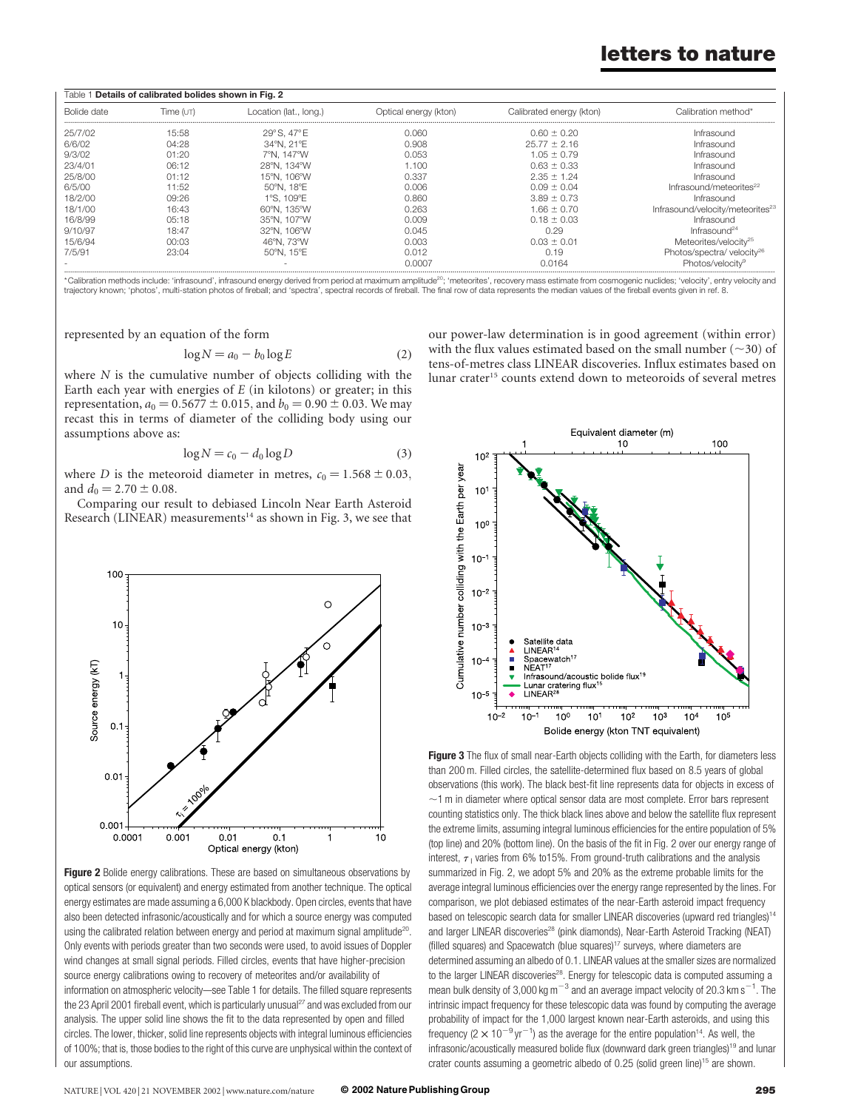## letters to nature

| Details of calibrated bolides shown in Fig. 2<br>Table 1 |           |                        |                       |                          |                                              |
|----------------------------------------------------------|-----------|------------------------|-----------------------|--------------------------|----------------------------------------------|
| Bolide date                                              | Time (uт) | Location (lat., long.) | Optical energy (kton) | Calibrated energy (kton) | Calibration method*                          |
| 25/7/02                                                  | 15:58     | 29° S. 47° E           | 0.060                 | $0.60 \pm 0.20$          | Infrasound                                   |
| 6/6/02                                                   | 04:28     | 34°N. 21°E             | 0.908                 | $25.77 \pm 2.16$         | Infrasound                                   |
| 9/3/02                                                   | 01:20     | 7°N. 147°W             | 0.053                 | $1.05 \pm 0.79$          | Infrasound                                   |
| 23/4/01                                                  | 06:12     | 28°N. 134°W            | 1.100                 | $0.63 \pm 0.33$          | Infrasound                                   |
| 25/8/00                                                  | 01:12     | 15°N. 106°W            | 0.337                 | $2.35 \pm 1.24$          | Infrasound                                   |
| 6/5/00                                                   | 11:52     | 50°N. 18°E             | 0.006                 | $0.09 \pm 0.04$          | Infrasound/meteorites <sup>22</sup>          |
| 18/2/00                                                  | 09:26     | 1°S. 109°E             | 0.860                 | $3.89 \pm 0.73$          | Infrasound                                   |
| 18/1/00                                                  | 16:43     | 60°N. 135°W            | 0.263                 | 1.66 ± 0.70              | Infrasound/velocity/meteorites <sup>23</sup> |
| 16/8/99                                                  | 05:18     | 35°N. 107°W            | 0.009                 | $0.18 \pm 0.03$          | Infrasound                                   |
| 9/10/97                                                  | 18:47     | 32°N. 106°W            | 0.045                 | 0.29                     | Infrac                                       |
| 15/6/94                                                  | 00:03     | 46°N. 73°W             | 0.003                 | $0.03 \pm 0.01$          | Meteorites/velocity <sup>25</sup>            |
| 7/5/91                                                   | 23:04     | 50°N. 15°E             | 0.012                 | 0.19                     | Photos/spectra/velocity <sup>26</sup>        |
|                                                          |           |                        | <u>N UUU U</u>        | N N 164                  | Photos/velocitv <sup>9</sup>                 |

\*Calibration methods include: 'infrasound', infrasound energy derived from period at maximum amplitude<sup>20</sup>; 'meteorites', recovery mass estimate from cosmogenic nuclides; 'velocity', entry velocity and trajectory known; 'photos', multi-station photos of fireball; and 'spectra', spectral records of fireball. The final row of data represents the median values of the fireball events given in ref. 8.

represented by an equation of the form

$$
\log N = a_0 - b_0 \log E \tag{2}
$$

where  $N$  is the cumulative number of objects colliding with the Earth each year with energies of  $E$  (in kilotons) or greater; in this representation,  $a_0 = 0.5677 \pm 0.015$ , and  $b_0 = 0.90 \pm 0.03$ . We may recast this in terms of diameter of the colliding body using our assumptions above as:

$$
\log N = c_0 - d_0 \log D \tag{3}
$$

where D is the meteoroid diameter in metres,  $c_0 = 1.568 \pm 0.03$ , and  $d_0 = 2.70 \pm 0.08$ .

Comparing our result to debiased Lincoln Near Earth Asteroid Research (LINEAR) measurements<sup>14</sup> as shown in Fig. 3, we see that



Figure 2 Bolide energy calibrations. These are based on simultaneous observations by optical sensors (or equivalent) and energy estimated from another technique. The optical energy estimates are made assuming a 6,000 K blackbody. Open circles, events that have also been detected infrasonic/acoustically and for which a source energy was computed using the calibrated relation between energy and period at maximum signal amplitude<sup>20</sup>. Only events with periods greater than two seconds were used, to avoid issues of Doppler wind changes at small signal periods. Filled circles, events that have higher-precision source energy calibrations owing to recovery of meteorites and/or availability of information on atmospheric velocity—see Table 1 for details. The filled square represents the 23 April 2001 fireball event, which is particularly unusual<sup>27</sup> and was excluded from our analysis. The upper solid line shows the fit to the data represented by open and filled circles. The lower, thicker, solid line represents objects with integral luminous efficiencies of 100%; that is, those bodies to the right of this curve are unphysical within the context of our assumptions.

our power-law determination is in good agreement (within error) with the flux values estimated based on the small number ( $\sim$ 30) of tens-of-metres class LINEAR discoveries. Influx estimates based on lunar crater<sup>15</sup> counts extend down to meteoroids of several metres



Figure 3 The flux of small near-Earth objects colliding with the Earth, for diameters less than 200 m. Filled circles, the satellite-determined flux based on 8.5 years of global observations (this work). The black best-fit line represents data for objects in excess of  $\sim$ 1 m in diameter where optical sensor data are most complete. Error bars represent counting statistics only. The thick black lines above and below the satellite flux represent the extreme limits, assuming integral luminous efficiencies for the entire population of 5% (top line) and 20% (bottom line). On the basis of the fit in Fig. 2 over our energy range of interest,  $\tau_1$  varies from 6% to 15%. From ground-truth calibrations and the analysis summarized in Fig. 2, we adopt 5% and 20% as the extreme probable limits for the average integral luminous efficiencies over the energy range represented by the lines. For comparison, we plot debiased estimates of the near-Earth asteroid impact frequency based on telescopic search data for smaller LINEAR discoveries (upward red triangles)<sup>14</sup> and larger LINEAR discoveries<sup>28</sup> (pink diamonds), Near-Earth Asteroid Tracking (NEAT) (filled squares) and Spacewatch (blue squares)<sup>17</sup> surveys, where diameters are determined assuming an albedo of 0.1. LINEAR values at the smaller sizes are normalized to the larger LINEAR discoveries<sup>28</sup>. Energy for telescopic data is computed assuming a mean bulk density of 3,000 kg m $^{-3}$  and an average impact velocity of 20.3 km s $^{-1}$ . The intrinsic impact frequency for these telescopic data was found by computing the average probability of impact for the 1,000 largest known near-Earth asteroids, and using this frequency (2  $\times$  10<sup>-9</sup> yr<sup>-1</sup>) as the average for the entire population<sup>14</sup>. As well, the infrasonic/acoustically measured bolide flux (downward dark green triangles)<sup>19</sup> and lunar crater counts assuming a geometric albedo of 0.25 (solid green line)<sup>15</sup> are shown.